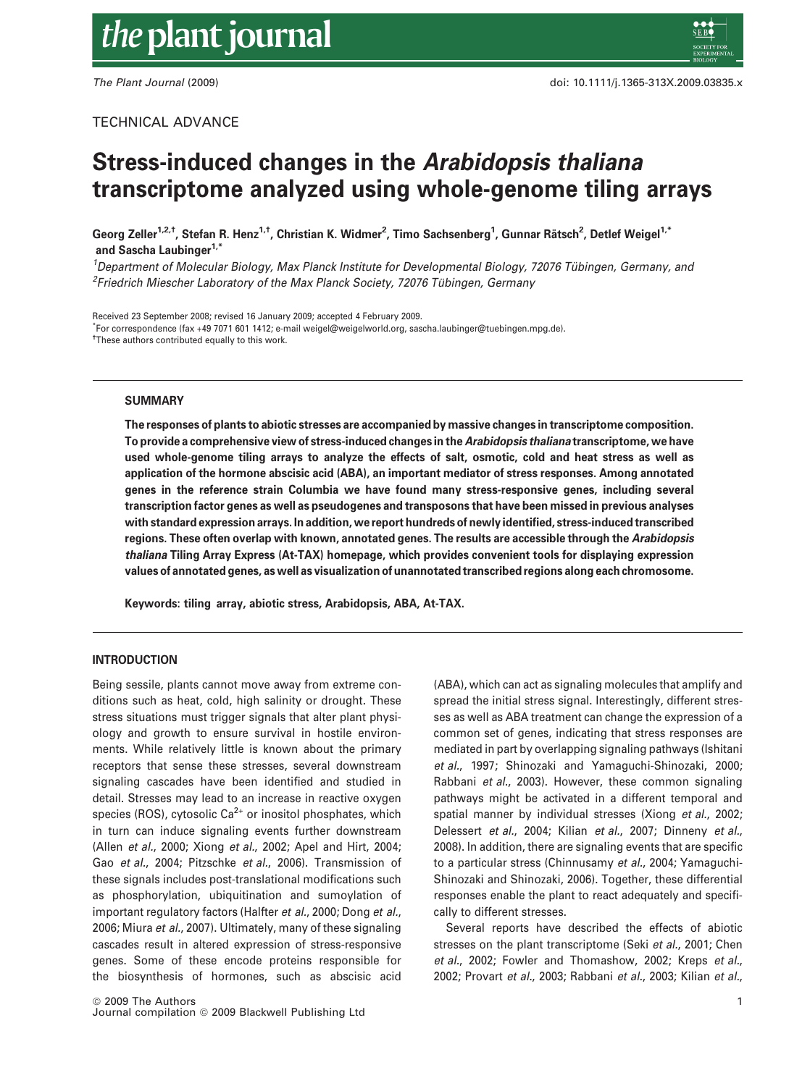# Stress-induced changes in the Arabidopsis thaliana transcriptome analyzed using whole-genome tiling arrays

Georg Zeller $^{1,2,1}$ , Stefan R. Henz $^{1,1}$ , Christian K. Widmer $^2$ , Timo Sachsenberg $^1$ , Gunnar Rätsch $^2$ , Detlef Weigel $^{1,1}$ and Sascha Laubinger<sup>1,\*</sup>

<sup>1</sup>Department of Molecular Biology, Max Planck Institute for Developmental Biology, 72076 Tübingen, Germany, and  $^2$ Friedrich Miescher Laboratory of the Max Planck Society, 72076 Tübingen, Germany

Received 23 September 2008; revised 16 January 2009; accepted 4 February 2009.

\* For correspondence (fax +49 7071 601 1412; e-mail weigel@weigelworld.org, sascha.laubinger@tuebingen.mpg.de). <sup>†</sup>These authors contributed equally to this work.

### **SUMMARY**

The responses of plants to abiotic stresses are accompanied by massive changes in transcriptome composition. To provide a comprehensive view of stress-induced changes in the Arabidopsis thaliana transcriptome, we have used whole-genome tiling arrays to analyze the effects of salt, osmotic, cold and heat stress as well as application of the hormone abscisic acid (ABA), an important mediator of stress responses. Among annotated genes in the reference strain Columbia we have found many stress-responsive genes, including several transcription factor genes as well as pseudogenes and transposons that have been missed in previous analyses with standard expression arrays. In addition, we report hundreds of newly identified, stress-induced transcribed regions. These often overlap with known, annotated genes. The results are accessible through the Arabidopsis thaliana Tiling Array Express (At-TAX) homepage, which provides convenient tools for displaying expression values of annotated genes, as well as visualization of unannotated transcribed regions along each chromosome.

Keywords: tiling array, abiotic stress, Arabidopsis, ABA, At-TAX.

# INTRODUCTION

Being sessile, plants cannot move away from extreme conditions such as heat, cold, high salinity or drought. These stress situations must trigger signals that alter plant physiology and growth to ensure survival in hostile environments. While relatively little is known about the primary receptors that sense these stresses, several downstream signaling cascades have been identified and studied in detail. Stresses may lead to an increase in reactive oxygen species (ROS), cytosolic  $Ca^{2+}$  or inositol phosphates, which in turn can induce signaling events further downstream (Allen et al., 2000; Xiong et al., 2002; Apel and Hirt, 2004; Gao et al., 2004; Pitzschke et al., 2006). Transmission of these signals includes post-translational modifications such as phosphorylation, ubiquitination and sumoylation of important regulatory factors (Halfter et al., 2000; Dong et al., 2006; Miura et al., 2007). Ultimately, many of these signaling cascades result in altered expression of stress-responsive genes. Some of these encode proteins responsible for the biosynthesis of hormones, such as abscisic acid (ABA), which can act as signaling molecules that amplify and spread the initial stress signal. Interestingly, different stresses as well as ABA treatment can change the expression of a common set of genes, indicating that stress responses are mediated in part by overlapping signaling pathways (Ishitani et al., 1997; Shinozaki and Yamaguchi-Shinozaki, 2000; Rabbani et al., 2003). However, these common signaling pathways might be activated in a different temporal and spatial manner by individual stresses (Xiong et al., 2002; Delessert et al., 2004; Kilian et al., 2007; Dinneny et al., 2008). In addition, there are signaling events that are specific to a particular stress (Chinnusamy et al., 2004; Yamaguchi-Shinozaki and Shinozaki, 2006). Together, these differential responses enable the plant to react adequately and specifically to different stresses.

Several reports have described the effects of abiotic stresses on the plant transcriptome (Seki et al., 2001; Chen et al., 2002; Fowler and Thomashow, 2002; Kreps et al., 2002; Provart et al., 2003; Rabbani et al., 2003; Kilian et al.,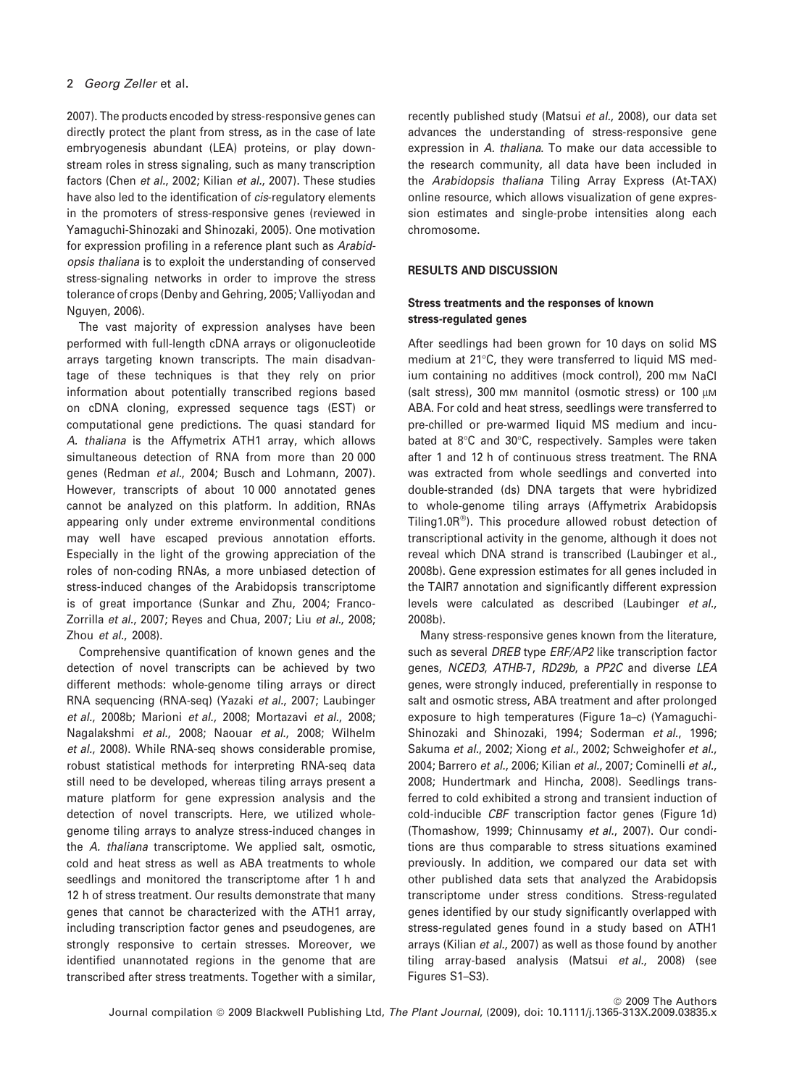2007). The products encoded by stress-responsive genes can directly protect the plant from stress, as in the case of late embryogenesis abundant (LEA) proteins, or play downstream roles in stress signaling, such as many transcription factors (Chen et al., 2002; Kilian et al., 2007). These studies have also led to the identification of *cis*-regulatory elements in the promoters of stress-responsive genes (reviewed in Yamaguchi-Shinozaki and Shinozaki, 2005). One motivation for expression profiling in a reference plant such as Arabidopsis thaliana is to exploit the understanding of conserved stress-signaling networks in order to improve the stress tolerance of crops (Denby and Gehring, 2005; Valliyodan and Nguyen, 2006).

The vast majority of expression analyses have been performed with full-length cDNA arrays or oligonucleotide arrays targeting known transcripts. The main disadvantage of these techniques is that they rely on prior information about potentially transcribed regions based on cDNA cloning, expressed sequence tags (EST) or computational gene predictions. The quasi standard for A. thaliana is the Affymetrix ATH1 array, which allows simultaneous detection of RNA from more than 20 000 genes (Redman et al., 2004; Busch and Lohmann, 2007). However, transcripts of about 10 000 annotated genes cannot be analyzed on this platform. In addition, RNAs appearing only under extreme environmental conditions may well have escaped previous annotation efforts. Especially in the light of the growing appreciation of the roles of non-coding RNAs, a more unbiased detection of stress-induced changes of the Arabidopsis transcriptome is of great importance (Sunkar and Zhu, 2004; Franco-Zorrilla et al., 2007; Reyes and Chua, 2007; Liu et al., 2008; Zhou et al., 2008).

Comprehensive quantification of known genes and the detection of novel transcripts can be achieved by two different methods: whole-genome tiling arrays or direct RNA sequencing (RNA-seq) (Yazaki et al., 2007; Laubinger et al., 2008b; Marioni et al., 2008; Mortazavi et al., 2008; Nagalakshmi et al., 2008; Naouar et al., 2008; Wilhelm et al., 2008). While RNA-seq shows considerable promise, robust statistical methods for interpreting RNA-seq data still need to be developed, whereas tiling arrays present a mature platform for gene expression analysis and the detection of novel transcripts. Here, we utilized wholegenome tiling arrays to analyze stress-induced changes in the A. thaliana transcriptome. We applied salt, osmotic, cold and heat stress as well as ABA treatments to whole seedlings and monitored the transcriptome after 1 h and 12 h of stress treatment. Our results demonstrate that many genes that cannot be characterized with the ATH1 array, including transcription factor genes and pseudogenes, are strongly responsive to certain stresses. Moreover, we identified unannotated regions in the genome that are transcribed after stress treatments. Together with a similar,

> $©$  2009 The Authors Journal compilation @ 2009 Blackwell Publishing Ltd, The Plant Journal, (2009), doi: 10.1111/j.1365-313X.2009.03835.x

recently published study (Matsui et al., 2008), our data set advances the understanding of stress-responsive gene expression in A. thaliana. To make our data accessible to the research community, all data have been included in the Arabidopsis thaliana Tiling Array Express (At-TAX) online resource, which allows visualization of gene expression estimates and single-probe intensities along each chromosome.

# RESULTS AND DISCUSSION

# Stress treatments and the responses of known stress-regulated genes

After seedlings had been grown for 10 days on solid MS medium at 21°C, they were transferred to liquid MS medium containing no additives (mock control), 200 mm NaCl (salt stress), 300 mm mannitol (osmotic stress) or 100  $\mu$ M ABA. For cold and heat stress, seedlings were transferred to pre-chilled or pre-warmed liquid MS medium and incubated at 8°C and 30°C, respectively. Samples were taken after 1 and 12 h of continuous stress treatment. The RNA was extracted from whole seedlings and converted into double-stranded (ds) DNA targets that were hybridized to whole-genome tiling arrays (Affymetrix Arabidopsis Tiling1.0 $R^{\circledast}$ ). This procedure allowed robust detection of transcriptional activity in the genome, although it does not reveal which DNA strand is transcribed (Laubinger et al., 2008b). Gene expression estimates for all genes included in the TAIR7 annotation and significantly different expression levels were calculated as described (Laubinger et al., 2008b).

Many stress-responsive genes known from the literature, such as several DREB type ERF/AP2 like transcription factor genes, NCED3, ATHB-7, RD29b, a PP2C and diverse LEA genes, were strongly induced, preferentially in response to salt and osmotic stress, ABA treatment and after prolonged exposure to high temperatures (Figure 1a–c) (Yamaguchi-Shinozaki and Shinozaki, 1994; Soderman et al., 1996; Sakuma et al., 2002; Xiong et al., 2002; Schweighofer et al., 2004; Barrero et al., 2006; Kilian et al., 2007; Cominelli et al., 2008; Hundertmark and Hincha, 2008). Seedlings transferred to cold exhibited a strong and transient induction of cold-inducible CBF transcription factor genes (Figure 1d) (Thomashow, 1999; Chinnusamy et al., 2007). Our conditions are thus comparable to stress situations examined previously. In addition, we compared our data set with other published data sets that analyzed the Arabidopsis transcriptome under stress conditions. Stress-regulated genes identified by our study significantly overlapped with stress-regulated genes found in a study based on ATH1 arrays (Kilian et al., 2007) as well as those found by another tiling array-based analysis (Matsui et al., 2008) (see Figures S1–S3).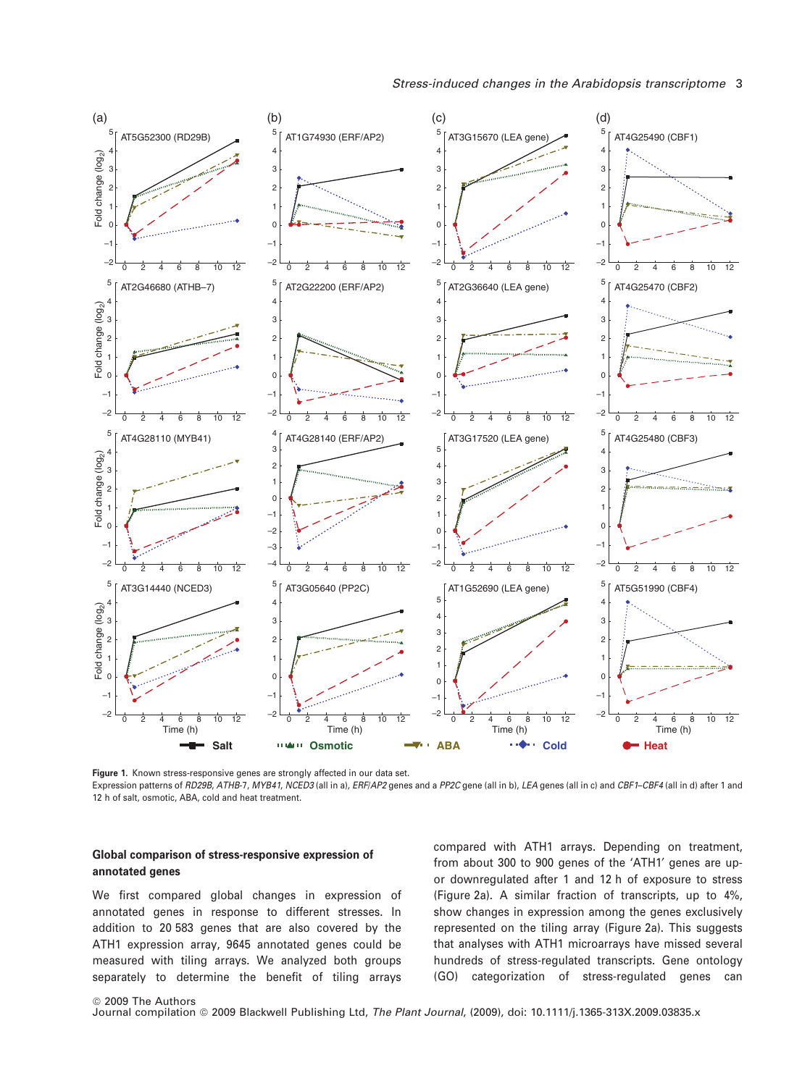

Figure 1. Known stress-responsive genes are strongly affected in our data set.

Expression patterns of RD29B, ATHB-7, MYB41, NCED3 (all in a), ERF/AP2 genes and a PP2C gene (all in b), LEA genes (all in c) and CBF1-CBF4 (all in d) after 1 and 12 h of salt, osmotic, ABA, cold and heat treatment.

# Global comparison of stress-responsive expression of annotated genes

We first compared global changes in expression of annotated genes in response to different stresses. In addition to 20 583 genes that are also covered by the ATH1 expression array, 9645 annotated genes could be measured with tiling arrays. We analyzed both groups separately to determine the benefit of tiling arrays compared with ATH1 arrays. Depending on treatment, from about 300 to 900 genes of the 'ATH1' genes are upor downregulated after 1 and 12 h of exposure to stress (Figure 2a). A similar fraction of transcripts, up to 4%, show changes in expression among the genes exclusively represented on the tiling array (Figure 2a). This suggests that analyses with ATH1 microarrays have missed several hundreds of stress-regulated transcripts. Gene ontology (GO) categorization of stress-regulated genes can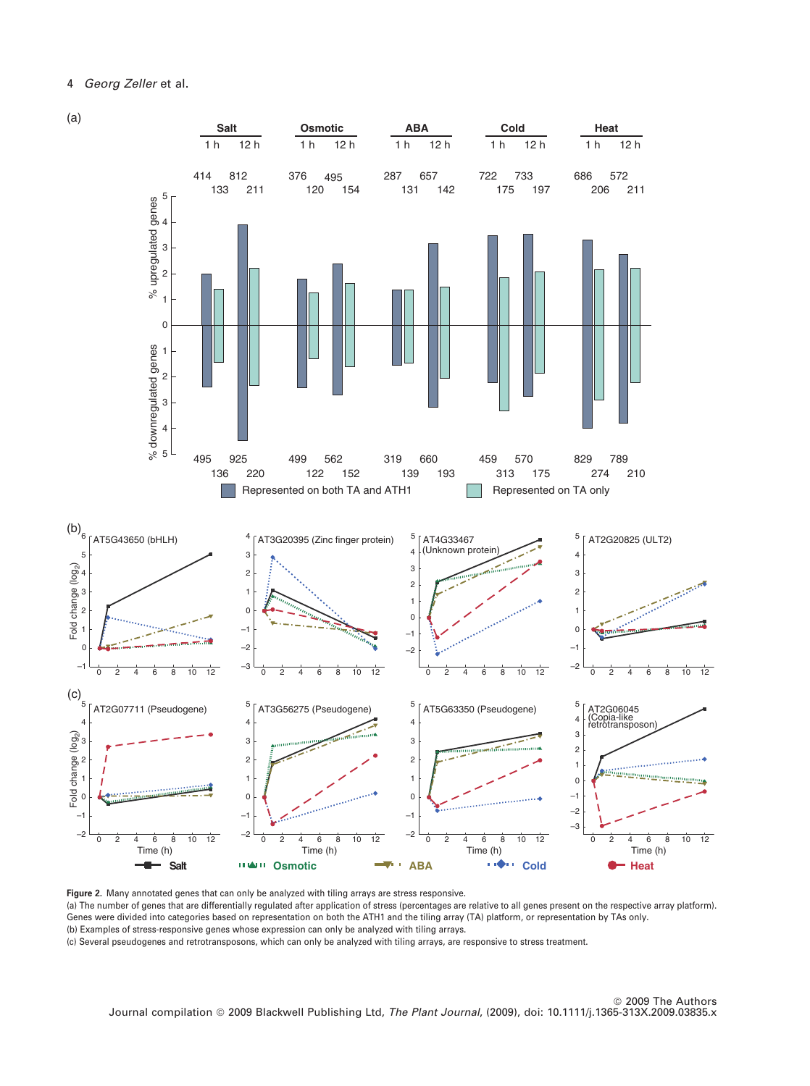

Figure 2. Many annotated genes that can only be analyzed with tiling arrays are stress responsive. (a) The number of genes that are differentially regulated after application of stress (percentages are relative to all genes present on the respective array platform). Genes were divided into categories based on representation on both the ATH1 and the tiling array (TA) platform, or representation by TAs only. (b) Examples of stress-responsive genes whose expression can only be analyzed with tiling arrays. (c) Several pseudogenes and retrotransposons, which can only be analyzed with tiling arrays, are responsive to stress treatment.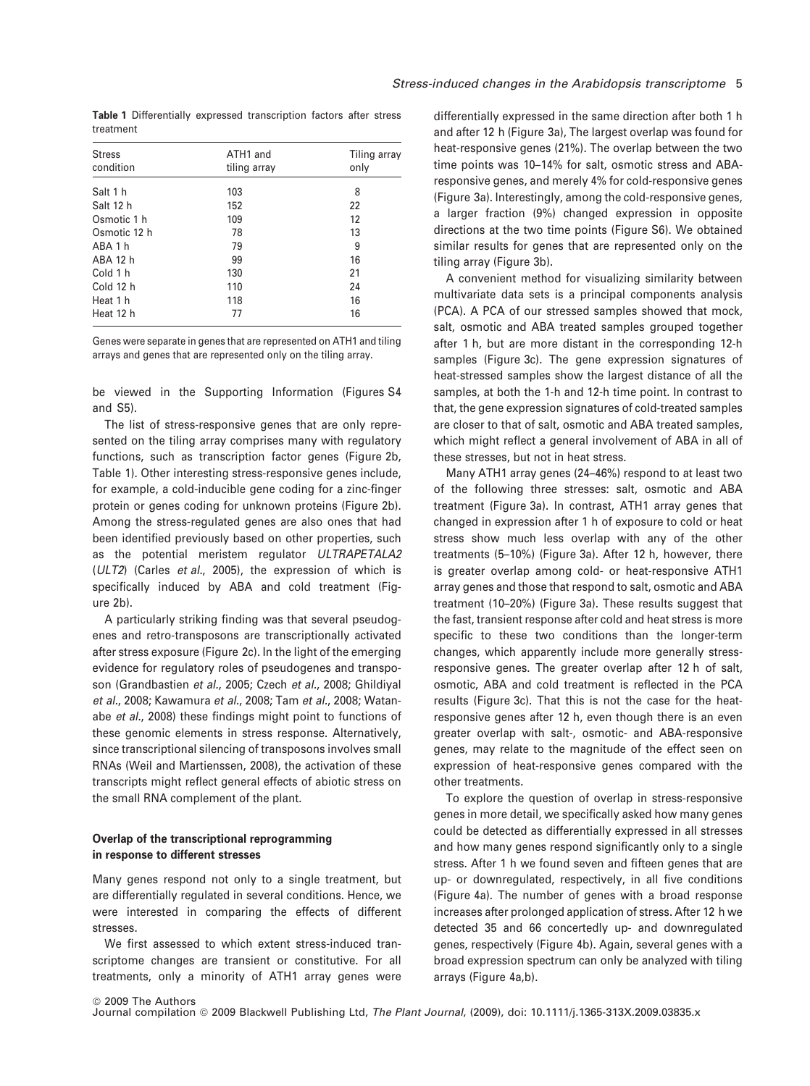Table 1 Differentially expressed transcription factors after stress treatment

| <b>Stress</b><br>condition | ATH1 and<br>tiling array | Tiling array<br>only |
|----------------------------|--------------------------|----------------------|
|                            |                          |                      |
| Salt 1 h                   | 103                      | 8                    |
| Salt 12 h                  | 152                      | 22                   |
| Osmotic 1 h                | 109                      | 12                   |
| Osmotic 12 h               | 78                       | 13                   |
| ABA 1 h                    | 79                       | 9                    |
| ABA 12 h                   | 99                       | 16                   |
| Cold 1 h                   | 130                      | 21                   |
| Cold 12 h                  | 110                      | 24                   |
| Heat 1 h                   | 118                      | 16                   |
| Heat 12 h                  | 77                       | 16                   |

Genes were separate in genes that are represented on ATH1 and tiling arrays and genes that are represented only on the tiling array.

be viewed in the Supporting Information (Figures S4 and S5).

The list of stress-responsive genes that are only represented on the tiling array comprises many with regulatory functions, such as transcription factor genes (Figure 2b, Table 1). Other interesting stress-responsive genes include, for example, a cold-inducible gene coding for a zinc-finger protein or genes coding for unknown proteins (Figure 2b). Among the stress-regulated genes are also ones that had been identified previously based on other properties, such as the potential meristem regulator ULTRAPETALA2 (ULT2) (Carles et al., 2005), the expression of which is specifically induced by ABA and cold treatment (Figure 2b).

A particularly striking finding was that several pseudogenes and retro-transposons are transcriptionally activated after stress exposure (Figure 2c). In the light of the emerging evidence for regulatory roles of pseudogenes and transposon (Grandbastien et al., 2005; Czech et al., 2008; Ghildiyal et al., 2008; Kawamura et al., 2008; Tam et al., 2008; Watanabe et al., 2008) these findings might point to functions of these genomic elements in stress response. Alternatively, since transcriptional silencing of transposons involves small RNAs (Weil and Martienssen, 2008), the activation of these transcripts might reflect general effects of abiotic stress on the small RNA complement of the plant.

## Overlap of the transcriptional reprogramming in response to different stresses

Many genes respond not only to a single treatment, but are differentially regulated in several conditions. Hence, we were interested in comparing the effects of different stresses.

We first assessed to which extent stress-induced transcriptome changes are transient or constitutive. For all treatments, only a minority of ATH1 array genes were differentially expressed in the same direction after both 1 h and after 12 h (Figure 3a), The largest overlap was found for heat-responsive genes (21%). The overlap between the two time points was 10–14% for salt, osmotic stress and ABAresponsive genes, and merely 4% for cold-responsive genes (Figure 3a). Interestingly, among the cold-responsive genes, a larger fraction (9%) changed expression in opposite directions at the two time points (Figure S6). We obtained similar results for genes that are represented only on the tiling array (Figure 3b).

A convenient method for visualizing similarity between multivariate data sets is a principal components analysis (PCA). A PCA of our stressed samples showed that mock, salt, osmotic and ABA treated samples grouped together after 1 h, but are more distant in the corresponding 12-h samples (Figure 3c). The gene expression signatures of heat-stressed samples show the largest distance of all the samples, at both the 1-h and 12-h time point. In contrast to that, the gene expression signatures of cold-treated samples are closer to that of salt, osmotic and ABA treated samples, which might reflect a general involvement of ABA in all of these stresses, but not in heat stress.

Many ATH1 array genes (24–46%) respond to at least two of the following three stresses: salt, osmotic and ABA treatment (Figure 3a). In contrast, ATH1 array genes that changed in expression after 1 h of exposure to cold or heat stress show much less overlap with any of the other treatments (5–10%) (Figure 3a). After 12 h, however, there is greater overlap among cold- or heat-responsive ATH1 array genes and those that respond to salt, osmotic and ABA treatment (10–20%) (Figure 3a). These results suggest that the fast, transient response after cold and heat stress is more specific to these two conditions than the longer-term changes, which apparently include more generally stressresponsive genes. The greater overlap after 12 h of salt, osmotic, ABA and cold treatment is reflected in the PCA results (Figure 3c). That this is not the case for the heatresponsive genes after 12 h, even though there is an even greater overlap with salt-, osmotic- and ABA-responsive genes, may relate to the magnitude of the effect seen on expression of heat-responsive genes compared with the other treatments.

To explore the question of overlap in stress-responsive genes in more detail, we specifically asked how many genes could be detected as differentially expressed in all stresses and how many genes respond significantly only to a single stress. After 1 h we found seven and fifteen genes that are up- or downregulated, respectively, in all five conditions (Figure 4a). The number of genes with a broad response increases after prolonged application of stress. After 12 h we detected 35 and 66 concertedly up- and downregulated genes, respectively (Figure 4b). Again, several genes with a broad expression spectrum can only be analyzed with tiling arrays (Figure 4a,b).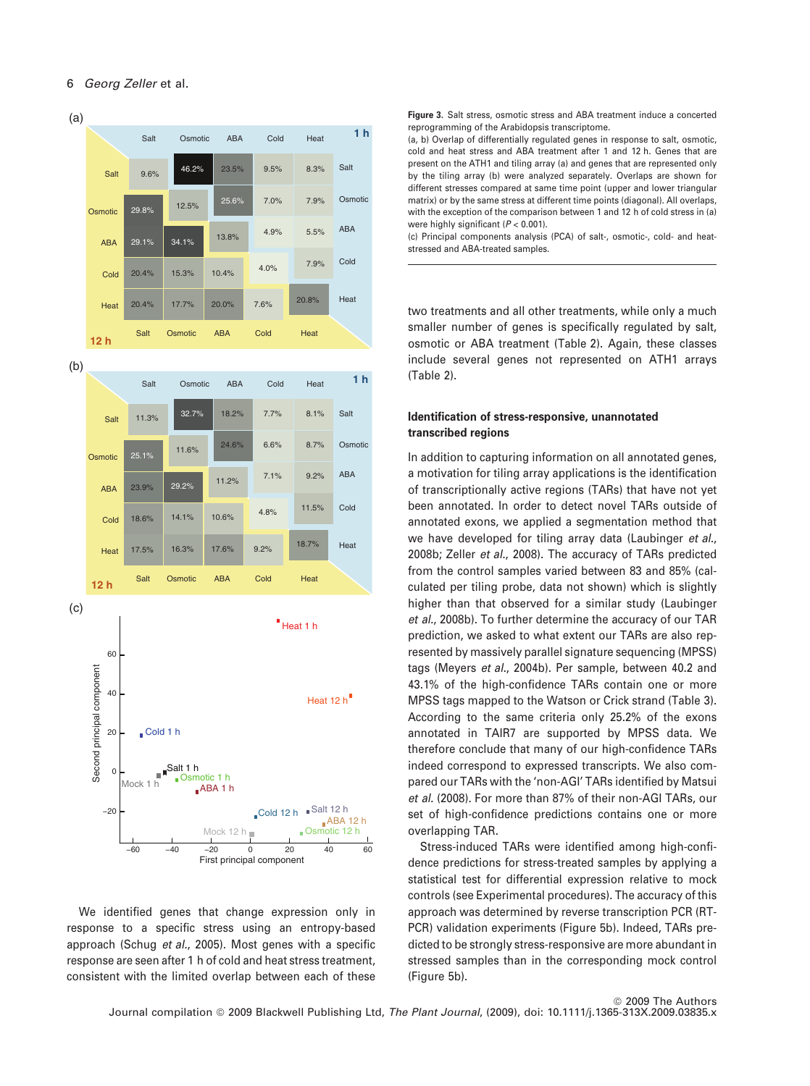

We identified genes that change expression only in response to a specific stress using an entropy-based approach (Schug et al., 2005). Most genes with a specific response are seen after 1 h of cold and heat stress treatment, consistent with the limited overlap between each of these Figure 3. Salt stress, osmotic stress and ABA treatment induce a concerted reprogramming of the Arabidopsis transcriptome.

(a, b) Overlap of differentially regulated genes in response to salt, osmotic, cold and heat stress and ABA treatment after 1 and 12 h. Genes that are present on the ATH1 and tiling array (a) and genes that are represented only by the tiling array (b) were analyzed separately. Overlaps are shown for different stresses compared at same time point (upper and lower triangular matrix) or by the same stress at different time points (diagonal). All overlaps, with the exception of the comparison between 1 and 12 h of cold stress in (a) were highly significant ( $P < 0.001$ ).

(c) Principal components analysis (PCA) of salt-, osmotic-, cold- and heatstressed and ABA-treated samples.

two treatments and all other treatments, while only a much smaller number of genes is specifically regulated by salt, osmotic or ABA treatment (Table 2). Again, these classes include several genes not represented on ATH1 arrays (Table 2).

# Identification of stress-responsive, unannotated transcribed regions

In addition to capturing information on all annotated genes, a motivation for tiling array applications is the identification of transcriptionally active regions (TARs) that have not yet been annotated. In order to detect novel TARs outside of annotated exons, we applied a segmentation method that we have developed for tiling array data (Laubinger et al., 2008b; Zeller et al., 2008). The accuracy of TARs predicted from the control samples varied between 83 and 85% (calculated per tiling probe, data not shown) which is slightly higher than that observed for a similar study (Laubinger et al., 2008b). To further determine the accuracy of our TAR prediction, we asked to what extent our TARs are also represented by massively parallel signature sequencing (MPSS) tags (Meyers et al., 2004b). Per sample, between 40.2 and 43.1% of the high-confidence TARs contain one or more MPSS tags mapped to the Watson or Crick strand (Table 3). According to the same criteria only 25.2% of the exons annotated in TAIR7 are supported by MPSS data. We therefore conclude that many of our high-confidence TARs indeed correspond to expressed transcripts. We also compared our TARs with the 'non-AGI' TARs identified by Matsui et al. (2008). For more than 87% of their non-AGI TARs, our set of high-confidence predictions contains one or more overlapping TAR.

Stress-induced TARs were identified among high-confidence predictions for stress-treated samples by applying a statistical test for differential expression relative to mock controls (see Experimental procedures). The accuracy of this approach was determined by reverse transcription PCR (RT-PCR) validation experiments (Figure 5b). Indeed, TARs predicted to be strongly stress-responsive are more abundant in stressed samples than in the corresponding mock control (Figure 5b).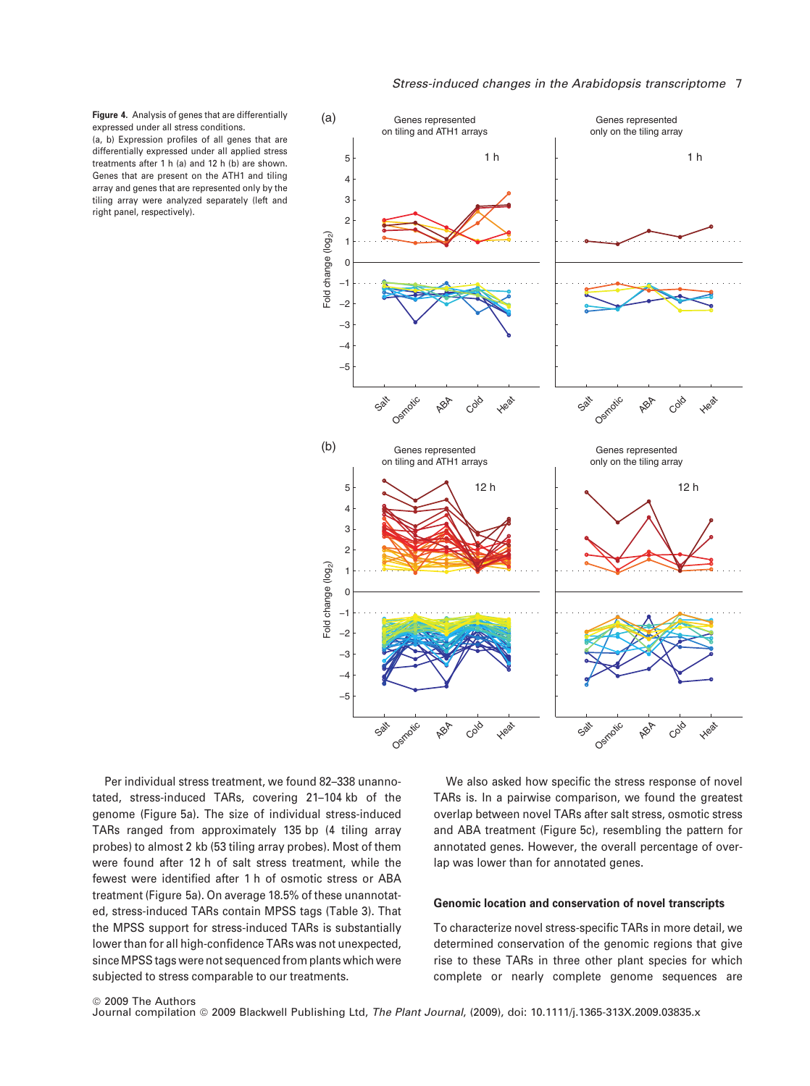Figure 4. Analysis of genes that are differentially expressed under all stress conditions. (a, b) Expression profiles of all genes that are differentially expressed under all applied stress treatments after 1 h (a) and 12 h (b) are shown. Genes that are present on the ATH1 and tiling array and genes that are represented only by the tiling array were analyzed separately (left and

right panel, respectively).



Per individual stress treatment, we found 82–338 unannotated, stress-induced TARs, covering 21–104 kb of the genome (Figure 5a). The size of individual stress-induced TARs ranged from approximately 135 bp (4 tiling array probes) to almost 2 kb (53 tiling array probes). Most of them were found after 12 h of salt stress treatment, while the fewest were identified after 1 h of osmotic stress or ABA treatment (Figure 5a). On average 18.5% of these unannotated, stress-induced TARs contain MPSS tags (Table 3). That the MPSS support for stress-induced TARs is substantially lower than for all high-confidence TARs was not unexpected, since MPSS tags were not sequenced from plants which were subjected to stress comparable to our treatments.

We also asked how specific the stress response of novel TARs is. In a pairwise comparison, we found the greatest overlap between novel TARs after salt stress, osmotic stress and ABA treatment (Figure 5c), resembling the pattern for annotated genes. However, the overall percentage of overlap was lower than for annotated genes.

### Genomic location and conservation of novel transcripts

To characterize novel stress-specific TARs in more detail, we determined conservation of the genomic regions that give rise to these TARs in three other plant species for which complete or nearly complete genome sequences are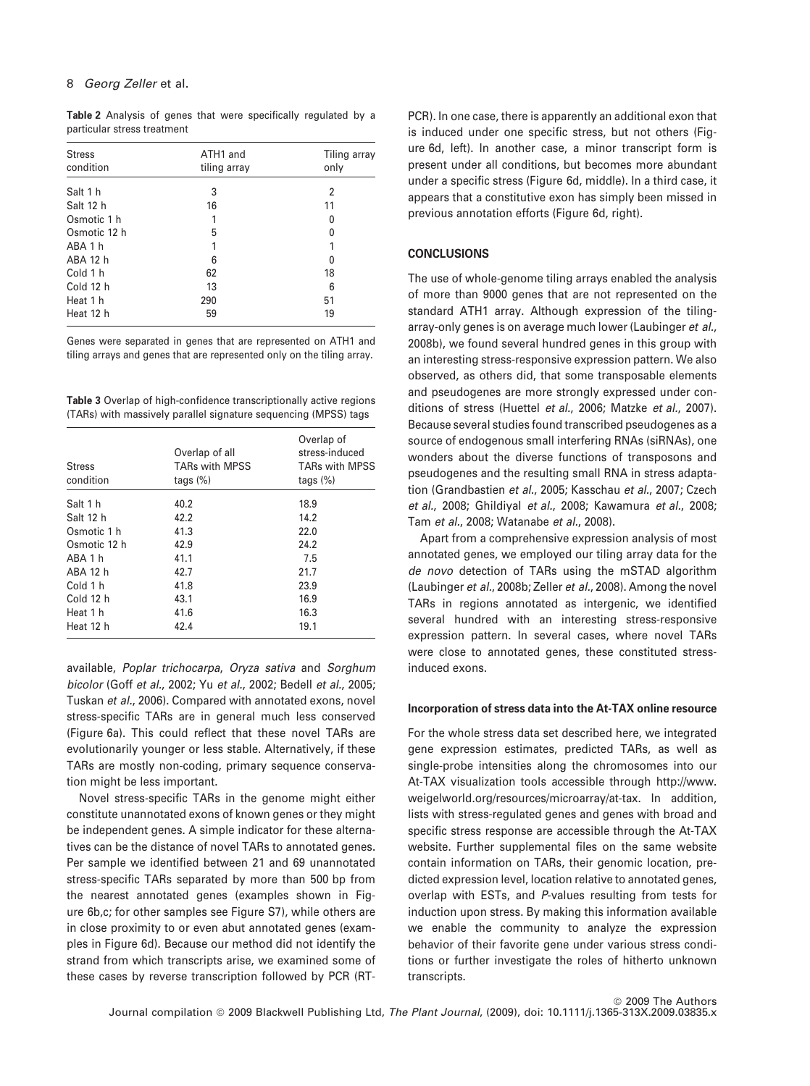Table 2 Analysis of genes that were specifically regulated by a particular stress treatment

| <b>Stress</b><br>condition | ATH1 and<br>tiling array | Tiling array<br>only |
|----------------------------|--------------------------|----------------------|
|                            |                          |                      |
| Salt 12 h                  | 16                       | 11                   |
| Osmotic 1 h                |                          | 0                    |
| Osmotic 12 h               | 5                        | 0                    |
| ABA 1 h                    |                          |                      |
| ABA 12 h                   | 6                        | O                    |
| Cold 1 h                   | 62                       | 18                   |
| Cold 12 h                  | 13                       | 6                    |
| Heat 1 h                   | 290                      | 51                   |
| Heat 12 h                  | 59                       | 19                   |

Genes were separated in genes that are represented on ATH1 and tiling arrays and genes that are represented only on the tiling array.

Table 3 Overlap of high-confidence transcriptionally active regions (TARs) with massively parallel signature sequencing (MPSS) tags

| <b>Stress</b><br>condition | Overlap of all<br><b>TARs with MPSS</b><br>tags $(\%)$ | Overlap of<br>stress-induced<br><b>TARs with MPSS</b><br>tags $(\%)$ |
|----------------------------|--------------------------------------------------------|----------------------------------------------------------------------|
| Salt 1 h                   | 40.2                                                   | 18.9                                                                 |
| Salt 12 h                  | 42.2                                                   | 14.2                                                                 |
| Osmotic 1 h                | 41.3                                                   | 22.0                                                                 |
| Osmotic 12 h               | 42.9                                                   | 24.2                                                                 |
| ARA 1 h                    | 41.1                                                   | 7.5                                                                  |
| ABA 12 h                   | 42.7                                                   | 21.7                                                                 |
| Cold 1 h                   | 41.8                                                   | 23.9                                                                 |
| Cold 12 h                  | 43.1                                                   | 16.9                                                                 |
| Heat 1 h                   | 41.6                                                   | 16.3                                                                 |
| Heat 12 h                  | 42.4                                                   | 19.1                                                                 |

available, Poplar trichocarpa, Oryza sativa and Sorghum bicolor (Goff et al., 2002; Yu et al., 2002; Bedell et al., 2005; Tuskan et al., 2006). Compared with annotated exons, novel stress-specific TARs are in general much less conserved (Figure 6a). This could reflect that these novel TARs are evolutionarily younger or less stable. Alternatively, if these TARs are mostly non-coding, primary sequence conservation might be less important.

Novel stress-specific TARs in the genome might either constitute unannotated exons of known genes or they might be independent genes. A simple indicator for these alternatives can be the distance of novel TARs to annotated genes. Per sample we identified between 21 and 69 unannotated stress-specific TARs separated by more than 500 bp from the nearest annotated genes (examples shown in Figure 6b,c; for other samples see Figure S7), while others are in close proximity to or even abut annotated genes (examples in Figure 6d). Because our method did not identify the strand from which transcripts arise, we examined some of these cases by reverse transcription followed by PCR (RT-

PCR). In one case, there is apparently an additional exon that is induced under one specific stress, but not others (Figure 6d, left). In another case, a minor transcript form is present under all conditions, but becomes more abundant under a specific stress (Figure 6d, middle). In a third case, it appears that a constitutive exon has simply been missed in previous annotation efforts (Figure 6d, right).

# **CONCLUSIONS**

The use of whole-genome tiling arrays enabled the analysis of more than 9000 genes that are not represented on the standard ATH1 array. Although expression of the tilingarray-only genes is on average much lower (Laubinger et al., 2008b), we found several hundred genes in this group with an interesting stress-responsive expression pattern. We also observed, as others did, that some transposable elements and pseudogenes are more strongly expressed under conditions of stress (Huettel et al., 2006; Matzke et al., 2007). Because several studies found transcribed pseudogenes as a source of endogenous small interfering RNAs (siRNAs), one wonders about the diverse functions of transposons and pseudogenes and the resulting small RNA in stress adaptation (Grandbastien et al., 2005; Kasschau et al., 2007; Czech et al., 2008; Ghildiyal et al., 2008; Kawamura et al., 2008; Tam et al., 2008; Watanabe et al., 2008).

Apart from a comprehensive expression analysis of most annotated genes, we employed our tiling array data for the de novo detection of TARs using the mSTAD algorithm (Laubinger et al., 2008b; Zeller et al., 2008). Among the novel TARs in regions annotated as intergenic, we identified several hundred with an interesting stress-responsive expression pattern. In several cases, where novel TARs were close to annotated genes, these constituted stressinduced exons.

# Incorporation of stress data into the At-TAX online resource

For the whole stress data set described here, we integrated gene expression estimates, predicted TARs, as well as single-probe intensities along the chromosomes into our At-TAX visualization tools accessible through http://www. weigelworld.org/resources/microarray/at-tax. In addition, lists with stress-regulated genes and genes with broad and specific stress response are accessible through the At-TAX website. Further supplemental files on the same website contain information on TARs, their genomic location, predicted expression level, location relative to annotated genes, overlap with ESTs, and P-values resulting from tests for induction upon stress. By making this information available we enable the community to analyze the expression behavior of their favorite gene under various stress conditions or further investigate the roles of hitherto unknown transcripts.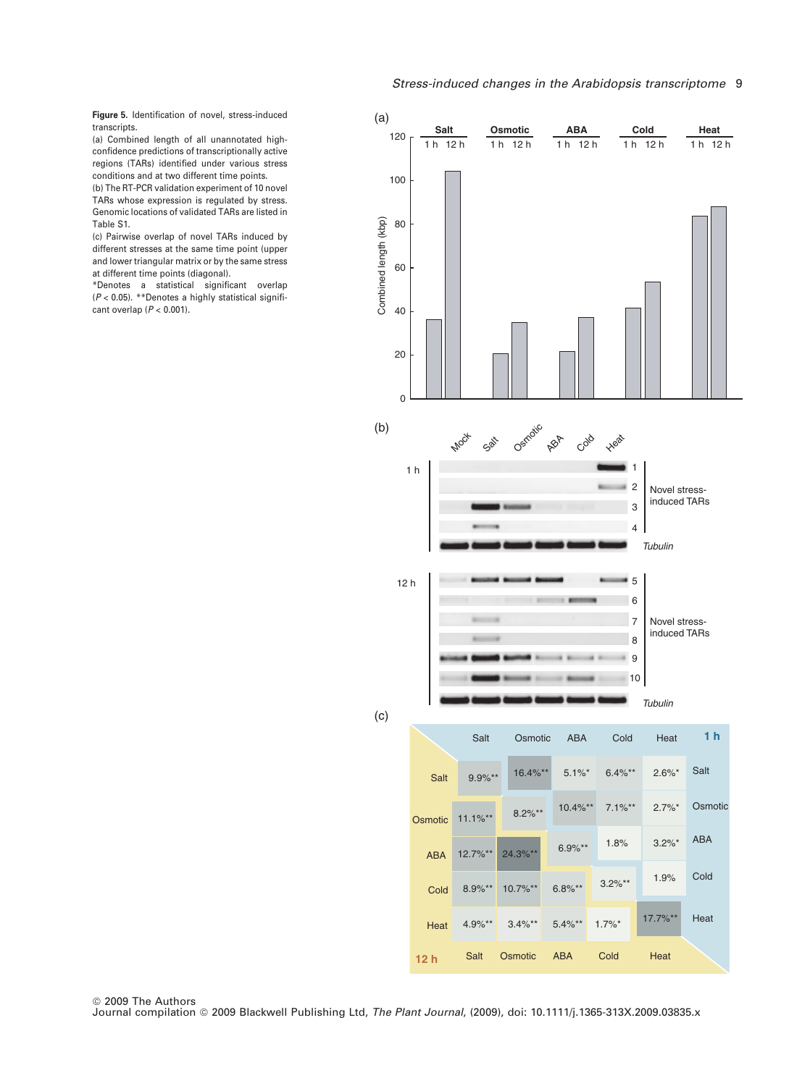# Stress-induced changes in the Arabidopsis transcriptome 9

Figure 5. Identification of novel, stress-induced transcripts.

(a) Combined length of all unannotated highconfidence predictions of transcriptionally active regions (TARs) identified under various stress conditions and at two different time points.

(b) The RT-PCR validation experiment of 10 novel TARs whose expression is regulated by stress. Genomic locations of validated TARs are listed in Table S1.

(c) Pairwise overlap of novel TARs induced by different stresses at the same time point (upper and lower triangular matrix or by the same stress at different time points (diagonal).

\*Denotes a statistical significant overlap (P < 0.05). \*\*Denotes a highly statistical significant overlap ( $P < 0.001$ ).

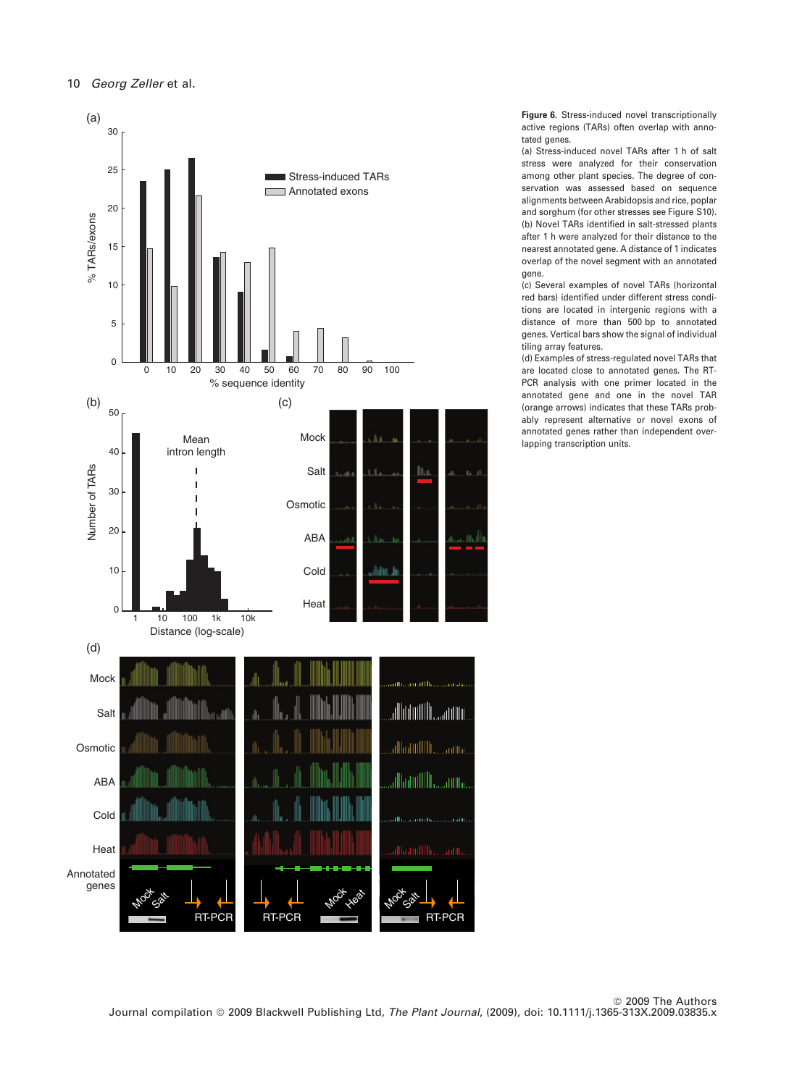

Figure 6. Stress-induced novel transcriptionally active regions (TARs) often overlap with annotated genes.

(a) Stress-induced novel TARs after 1 h of salt stress were analyzed for their conservation among other plant species. The degree of conservation was assessed based on sequence alignments between Arabidopsis and rice, poplar and sorghum (for other stresses see Figure S10). (b) Novel TARs identified in salt-stressed plants after 1 h were analyzed for their distance to the nearest annotated gene. A distance of 1 indicates overlap of the novel segment with an annotated gene.

(c) Several examples of novel TARs (horizontal red bars) identified under different stress conditions are located in intergenic regions with a distance of more than 500 bp to annotated genes. Vertical bars show the signal of individual tiling array features.

(d) Examples of stress-regulated novel TARs that are located close to annotated genes. The RT-PCR analysis with one primer located in the annotated gene and one in the novel TAR (orange arrows) indicates that these TARs probably represent alternative or novel exons of annotated genes rather than independent overlapping transcription units.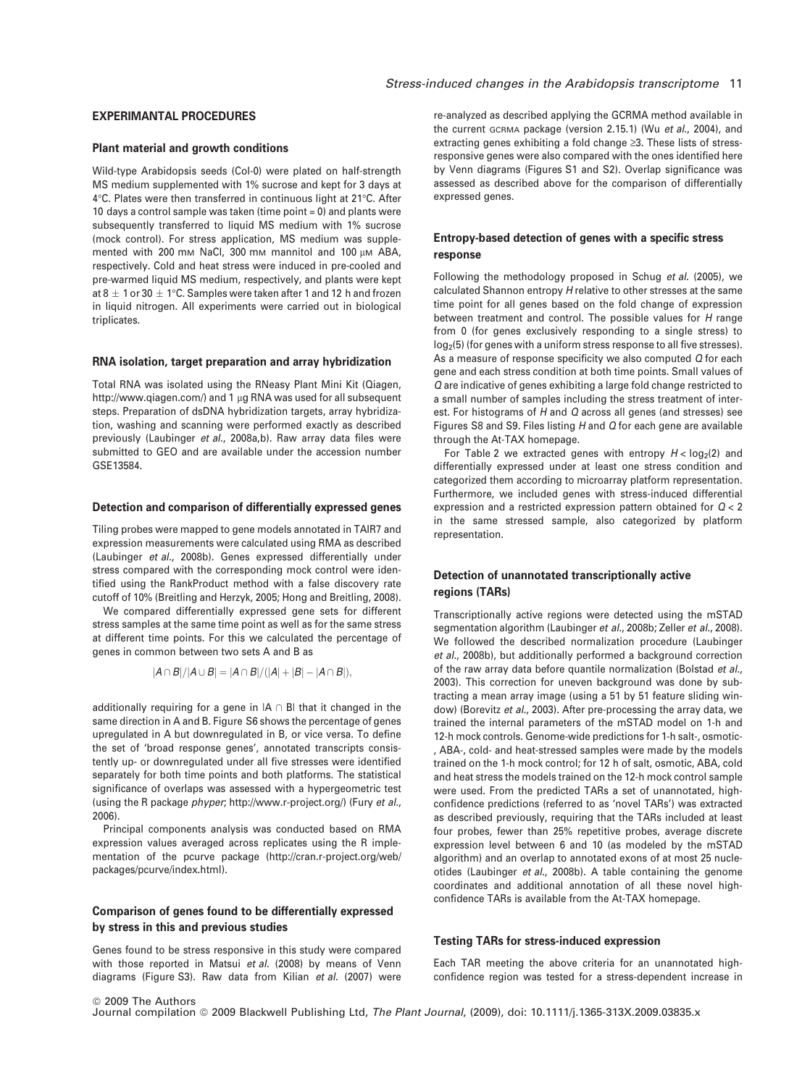### EXPERIMANTAL PROCEDURES

#### Plant material and growth conditions

Wild-type Arabidopsis seeds (Col-0) were plated on half-strength MS medium supplemented with 1% sucrose and kept for 3 days at  $4^\circ\text{C}$ . Plates were then transferred in continuous light at 21 $^\circ\text{C}$ . After 10 days a control sample was taken (time point = 0) and plants were subsequently transferred to liquid MS medium with 1% sucrose (mock control). For stress application, MS medium was supplemented with 200 mm NaCl, 300 mm mannitol and 100  $\mu$ m ABA, respectively. Cold and heat stress were induced in pre-cooled and pre-warmed liquid MS medium, respectively, and plants were kept at 8  $\pm$  1 or 30  $\pm$  1°C. Samples were taken after 1 and 12 h and frozen in liquid nitrogen. All experiments were carried out in biological triplicates.

#### RNA isolation, target preparation and array hybridization

Total RNA was isolated using the RNeasy Plant Mini Kit (Qiagen, http://www.qiagen.com/) and 1 µg RNA was used for all subsequent steps. Preparation of dsDNA hybridization targets, array hybridization, washing and scanning were performed exactly as described previously (Laubinger et al., 2008a,b). Raw array data files were submitted to GEO and are available under the accession number GSE13584.

#### Detection and comparison of differentially expressed genes

Tiling probes were mapped to gene models annotated in TAIR7 and expression measurements were calculated using RMA as described (Laubinger et al., 2008b). Genes expressed differentially under stress compared with the corresponding mock control were identified using the RankProduct method with a false discovery rate cutoff of 10% (Breitling and Herzyk, 2005; Hong and Breitling, 2008).

We compared differentially expressed gene sets for different stress samples at the same time point as well as for the same stress at different time points. For this we calculated the percentage of genes in common between two sets A and B as

$$
|A \cap B|/|A \cup B| = |A \cap B|/(|A|+|B|-|A \cap B|),
$$

additionally requiring for a gene in  $|A \cap B|$  that it changed in the same direction in A and B. Figure S6 shows the percentage of genes upregulated in A but downregulated in B, or vice versa. To define the set of 'broad response genes', annotated transcripts consistently up- or downregulated under all five stresses were identified separately for both time points and both platforms. The statistical significance of overlaps was assessed with a hypergeometric test (using the R package phyper; http://www.r-project.org/) (Fury et al., 2006).

Principal components analysis was conducted based on RMA expression values averaged across replicates using the R implementation of the pcurve package (http://cran.r-project.org/web/ packages/pcurve/index.html).

# Comparison of genes found to be differentially expressed by stress in this and previous studies

Genes found to be stress responsive in this study were compared with those reported in Matsui et al. (2008) by means of Venn diagrams (Figure S3). Raw data from Kilian et al. (2007) were

re-analyzed as described applying the GCRMA method available in the current GCRMA package (version 2.15.1) (Wu et al., 2004), and extracting genes exhibiting a fold change  $\geq 3$ . These lists of stressresponsive genes were also compared with the ones identified here by Venn diagrams (Figures S1 and S2). Overlap significance was assessed as described above for the comparison of differentially expressed genes.

# Entropy-based detection of genes with a specific stress response

Following the methodology proposed in Schug et al. (2005), we calculated Shannon entropy H relative to other stresses at the same time point for all genes based on the fold change of expression between treatment and control. The possible values for H range from 0 (for genes exclusively responding to a single stress) to  $log<sub>2</sub>(5)$  (for genes with a uniform stress response to all five stresses). As a measure of response specificity we also computed Q for each gene and each stress condition at both time points. Small values of Q are indicative of genes exhibiting a large fold change restricted to a small number of samples including the stress treatment of interest. For histograms of H and Q across all genes (and stresses) see Figures S8 and S9. Files listing H and Q for each gene are available through the At-TAX homepage.

For Table 2 we extracted genes with entropy  $H <$  log<sub>2</sub>(2) and differentially expressed under at least one stress condition and categorized them according to microarray platform representation. Furthermore, we included genes with stress-induced differential expression and a restricted expression pattern obtained for Q < 2 in the same stressed sample, also categorized by platform representation.

# Detection of unannotated transcriptionally active regions (TARs)

Transcriptionally active regions were detected using the mSTAD segmentation algorithm (Laubinger et al., 2008b; Zeller et al., 2008). We followed the described normalization procedure (Laubinger et al., 2008b), but additionally performed a background correction of the raw array data before quantile normalization (Bolstad et al., 2003). This correction for uneven background was done by subtracting a mean array image (using a 51 by 51 feature sliding window) (Borevitz et al., 2003). After pre-processing the array data, we trained the internal parameters of the mSTAD model on 1-h and 12-h mock controls. Genome-wide predictions for 1-h salt-, osmotic- , ABA-, cold- and heat-stressed samples were made by the models trained on the 1-h mock control; for 12 h of salt, osmotic, ABA, cold and heat stress the models trained on the 12-h mock control sample were used. From the predicted TARs a set of unannotated, highconfidence predictions (referred to as 'novel TARs') was extracted as described previously, requiring that the TARs included at least four probes, fewer than 25% repetitive probes, average discrete expression level between 6 and 10 (as modeled by the mSTAD algorithm) and an overlap to annotated exons of at most 25 nucleotides (Laubinger et al., 2008b). A table containing the genome coordinates and additional annotation of all these novel highconfidence TARs is available from the At-TAX homepage.

#### Testing TARs for stress-induced expression

Each TAR meeting the above criteria for an unannotated highconfidence region was tested for a stress-dependent increase in

ª 2009 The Authors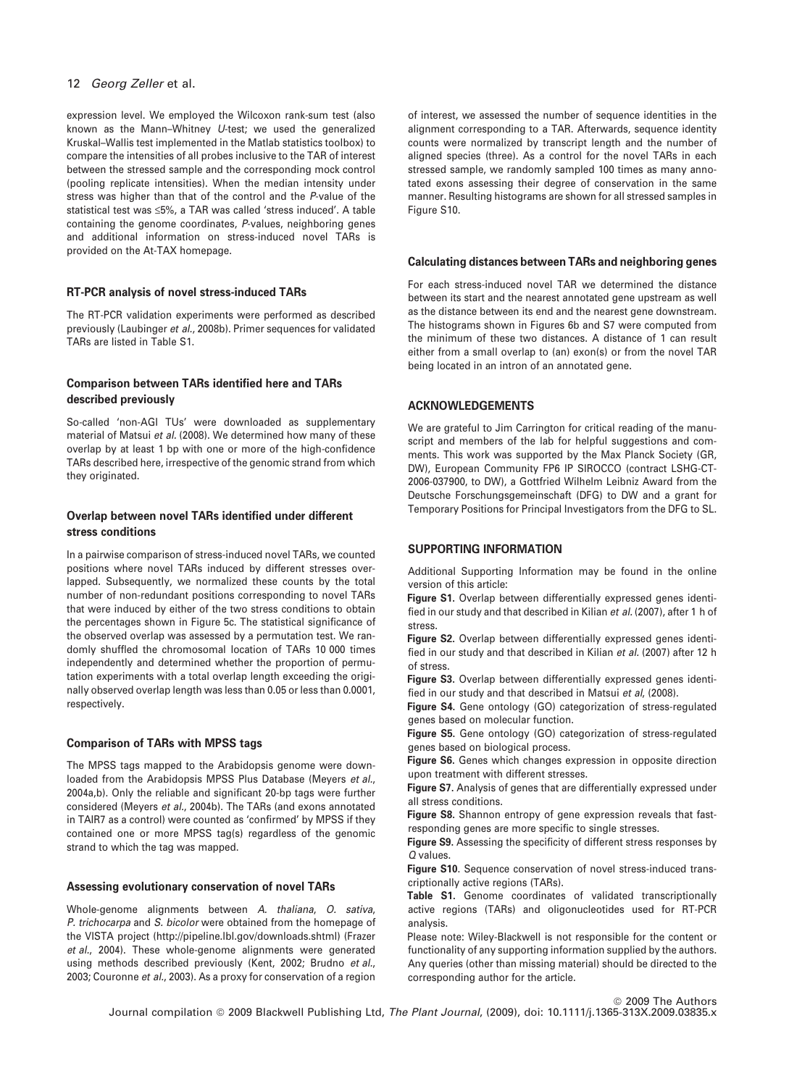expression level. We employed the Wilcoxon rank-sum test (also known as the Mann–Whitney U-test; we used the generalized Kruskal–Wallis test implemented in the Matlab statistics toolbox) to compare the intensities of all probes inclusive to the TAR of interest between the stressed sample and the corresponding mock control (pooling replicate intensities). When the median intensity under stress was higher than that of the control and the P-value of the statistical test was  $\leq 5\%$ , a TAR was called 'stress induced'. A table containing the genome coordinates, P-values, neighboring genes and additional information on stress-induced novel TARs is provided on the At-TAX homepage.

### RT-PCR analysis of novel stress-induced TARs

The RT-PCR validation experiments were performed as described previously (Laubinger et al., 2008b). Primer sequences for validated TARs are listed in Table S1.

# Comparison between TARs identified here and TARs described previously

So-called 'non-AGI TUs' were downloaded as supplementary material of Matsui et al. (2008). We determined how many of these overlap by at least 1 bp with one or more of the high-confidence TARs described here, irrespective of the genomic strand from which they originated.

# Overlap between novel TARs identified under different stress conditions

In a pairwise comparison of stress-induced novel TARs, we counted positions where novel TARs induced by different stresses overlapped. Subsequently, we normalized these counts by the total number of non-redundant positions corresponding to novel TARs that were induced by either of the two stress conditions to obtain the percentages shown in Figure 5c. The statistical significance of the observed overlap was assessed by a permutation test. We randomly shuffled the chromosomal location of TARs 10 000 times independently and determined whether the proportion of permutation experiments with a total overlap length exceeding the originally observed overlap length was less than 0.05 or less than 0.0001, respectively.

### Comparison of TARs with MPSS tags

The MPSS tags mapped to the Arabidopsis genome were downloaded from the Arabidopsis MPSS Plus Database (Meyers et al., 2004a,b). Only the reliable and significant 20-bp tags were further considered (Meyers et al., 2004b). The TARs (and exons annotated in TAIR7 as a control) were counted as 'confirmed' by MPSS if they contained one or more MPSS tag(s) regardless of the genomic strand to which the tag was mapped.

#### Assessing evolutionary conservation of novel TARs

Whole-genome alignments between A. thaliana, O. sativa, P. trichocarpa and S. bicolor were obtained from the homepage of the VISTA project (http://pipeline.lbl.gov/downloads.shtml) (Frazer et al., 2004). These whole-genome alignments were generated using methods described previously (Kent, 2002; Brudno et al., 2003; Couronne et al., 2003). As a proxy for conservation of a region of interest, we assessed the number of sequence identities in the alignment corresponding to a TAR. Afterwards, sequence identity counts were normalized by transcript length and the number of aligned species (three). As a control for the novel TARs in each stressed sample, we randomly sampled 100 times as many annotated exons assessing their degree of conservation in the same manner. Resulting histograms are shown for all stressed samples in Figure S10.

## Calculating distances between TARs and neighboring genes

For each stress-induced novel TAR we determined the distance between its start and the nearest annotated gene upstream as well as the distance between its end and the nearest gene downstream. The histograms shown in Figures 6b and S7 were computed from the minimum of these two distances. A distance of 1 can result either from a small overlap to (an) exon(s) or from the novel TAR being located in an intron of an annotated gene.

### ACKNOWLEDGEMENTS

We are grateful to Jim Carrington for critical reading of the manuscript and members of the lab for helpful suggestions and comments. This work was supported by the Max Planck Society (GR, DW), European Community FP6 IP SIROCCO (contract LSHG-CT-2006-037900, to DW), a Gottfried Wilhelm Leibniz Award from the Deutsche Forschungsgemeinschaft (DFG) to DW and a grant for Temporary Positions for Principal Investigators from the DFG to SL.

### SUPPORTING INFORMATION

Additional Supporting Information may be found in the online version of this article:

Figure S1. Overlap between differentially expressed genes identified in our study and that described in Kilian et al. (2007), after 1 h of stress.

Figure S2. Overlap between differentially expressed genes identified in our study and that described in Kilian et al. (2007) after 12 h of stress.

Figure S3. Overlap between differentially expressed genes identified in our study and that described in Matsui et al, (2008).

Figure S4. Gene ontology (GO) categorization of stress-regulated genes based on molecular function.

Figure S5. Gene ontology (GO) categorization of stress-regulated genes based on biological process.

Figure S6. Genes which changes expression in opposite direction upon treatment with different stresses.

Figure S7. Analysis of genes that are differentially expressed under all stress conditions.

Figure S8. Shannon entropy of gene expression reveals that fastresponding genes are more specific to single stresses.

Figure S9. Assessing the specificity of different stress responses by Q values.

Figure S10. Sequence conservation of novel stress-induced transcriptionally active regions (TARs).

Table S1. Genome coordinates of validated transcriptionally active regions (TARs) and oligonucleotides used for RT-PCR analysis.

Please note: Wiley-Blackwell is not responsible for the content or functionality of any supporting information supplied by the authors. Any queries (other than missing material) should be directed to the corresponding author for the article.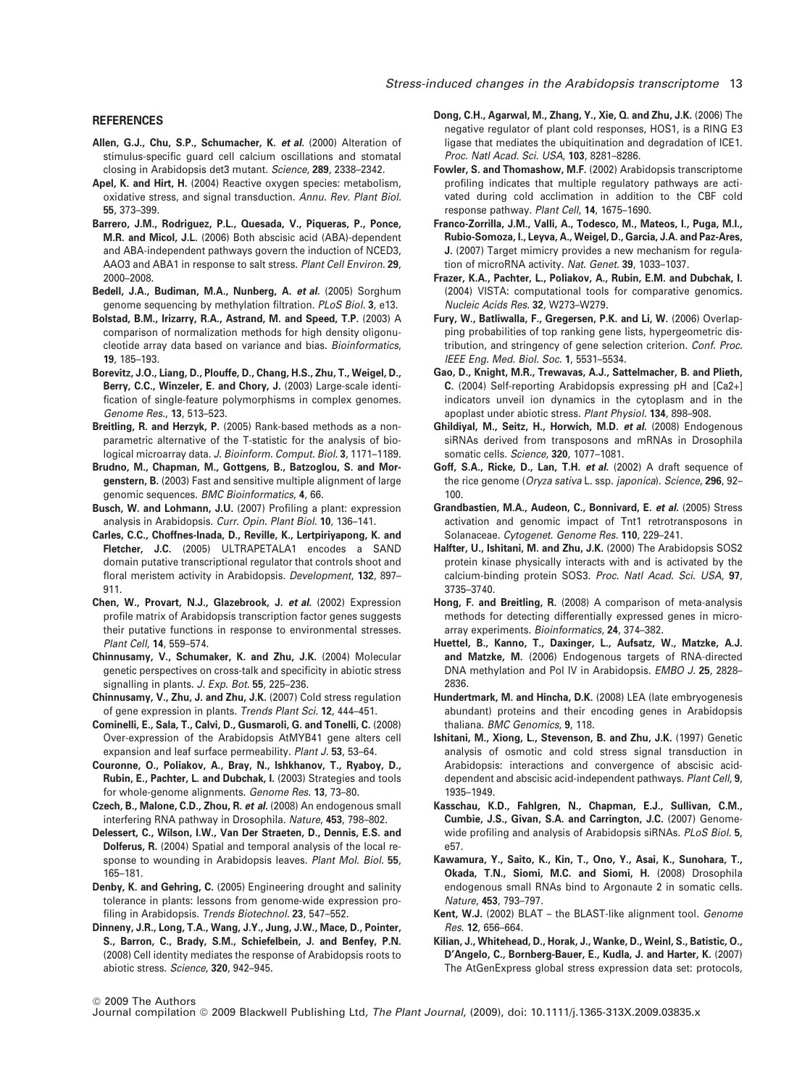#### REFERENCES

- Allen, G.J., Chu, S.P., Schumacher, K. et al. (2000) Alteration of stimulus-specific guard cell calcium oscillations and stomatal closing in Arabidopsis det3 mutant. Science, 289, 2338–2342.
- Apel, K. and Hirt, H. (2004) Reactive oxygen species: metabolism, oxidative stress, and signal transduction. Annu. Rev. Plant Biol. 55, 373–399.
- Barrero, J.M., Rodriguez, P.L., Quesada, V., Piqueras, P., Ponce, M.R. and Micol, J.L. (2006) Both abscisic acid (ABA)-dependent and ABA-independent pathways govern the induction of NCED3, AAO3 and ABA1 in response to salt stress. Plant Cell Environ. 29, 2000–2008.
- Bedell, J.A., Budiman, M.A., Nunberg, A. et al. (2005) Sorghum genome sequencing by methylation filtration. PLoS Biol. 3, e13.
- Bolstad, B.M., Irizarry, R.A., Astrand, M. and Speed, T.P. (2003) A comparison of normalization methods for high density oligonucleotide array data based on variance and bias. Bioinformatics, 19, 185–193.
- Borevitz, J.O., Liang, D., Plouffe, D., Chang, H.S., Zhu, T., Weigel, D., Berry, C.C., Winzeler, E. and Chory, J. (2003) Large-scale identification of single-feature polymorphisms in complex genomes. Genome Res., 13, 513–523.
- Breitling, R. and Herzyk, P. (2005) Rank-based methods as a nonparametric alternative of the T-statistic for the analysis of biological microarray data. J. Bioinform. Comput. Biol. 3, 1171–1189.
- Brudno, M., Chapman, M., Gottgens, B., Batzoglou, S. and Morgenstern, B. (2003) Fast and sensitive multiple alignment of large genomic sequences. BMC Bioinformatics, 4, 66.
- Busch, W. and Lohmann, J.U. (2007) Profiling a plant: expression analysis in Arabidopsis. Curr. Opin. Plant Biol. 10, 136–141.
- Carles, C.C., Choffnes-Inada, D., Reville, K., Lertpiriyapong, K. and Fletcher, J.C. (2005) ULTRAPETALA1 encodes a SAND domain putative transcriptional regulator that controls shoot and floral meristem activity in Arabidopsis. Development, 132, 897– 911.
- Chen, W., Provart, N.J., Glazebrook, J. et al. (2002) Expression profile matrix of Arabidopsis transcription factor genes suggests their putative functions in response to environmental stresses. Plant Cell, 14, 559–574.
- Chinnusamy, V., Schumaker, K. and Zhu, J.K. (2004) Molecular genetic perspectives on cross-talk and specificity in abiotic stress signalling in plants. J. Exp. Bot. 55, 225-236.
- Chinnusamy, V., Zhu, J. and Zhu, J.K. (2007) Cold stress regulation of gene expression in plants. Trends Plant Sci. 12, 444–451.
- Cominelli, E., Sala, T., Calvi, D., Gusmaroli, G. and Tonelli, C. (2008) Over-expression of the Arabidopsis AtMYB41 gene alters cell expansion and leaf surface permeability. Plant J. 53, 53-64.
- Couronne, O., Poliakov, A., Bray, N., Ishkhanov, T., Ryaboy, D., Rubin, E., Pachter, L. and Dubchak, I. (2003) Strategies and tools for whole-genome alignments. Genome Res. 13, 73–80.
- Czech, B., Malone, C.D., Zhou, R. et al. (2008) An endogenous small interfering RNA pathway in Drosophila. Nature, 453, 798–802.
- Delessert, C., Wilson, I.W., Van Der Straeten, D., Dennis, E.S. and Dolferus, R. (2004) Spatial and temporal analysis of the local response to wounding in Arabidopsis leaves. Plant Mol. Biol. 55, 165–181.
- Denby, K. and Gehring, C. (2005) Engineering drought and salinity tolerance in plants: lessons from genome-wide expression profiling in Arabidopsis. Trends Biotechnol. 23, 547-552.
- Dinneny, J.R., Long, T.A., Wang, J.Y., Jung, J.W., Mace, D., Pointer, S., Barron, C., Brady, S.M., Schiefelbein, J. and Benfey, P.N. (2008) Cell identity mediates the response of Arabidopsis roots to abiotic stress. Science, 320, 942–945.
- Dong, C.H., Agarwal, M., Zhang, Y., Xie, Q. and Zhu, J.K. (2006) The negative regulator of plant cold responses, HOS1, is a RING E3 ligase that mediates the ubiquitination and degradation of ICE1. Proc. Natl Acad. Sci. USA, 103, 8281–8286.
- Fowler, S. and Thomashow, M.F. (2002) Arabidopsis transcriptome profiling indicates that multiple regulatory pathways are activated during cold acclimation in addition to the CBF cold response pathway. Plant Cell, 14, 1675–1690.
- Franco-Zorrilla, J.M., Valli, A., Todesco, M., Mateos, I., Puga, M.I., Rubio-Somoza, I., Leyva, A., Weigel, D., Garcia, J.A. and Paz-Ares, J. (2007) Target mimicry provides a new mechanism for regulation of microRNA activity. Nat. Genet. 39, 1033–1037.
- Frazer, K.A., Pachter, L., Poliakov, A., Rubin, E.M. and Dubchak, I. (2004) VISTA: computational tools for comparative genomics. Nucleic Acids Res. 32, W273–W279.
- Fury, W., Batliwalla, F., Gregersen, P.K. and Li, W. (2006) Overlapping probabilities of top ranking gene lists, hypergeometric distribution, and stringency of gene selection criterion. Conf. Proc. IEEE Eng. Med. Biol. Soc. 1, 5531–5534.
- Gao, D., Knight, M.R., Trewavas, A.J., Sattelmacher, B. and Plieth, C. (2004) Self-reporting Arabidopsis expressing pH and [Ca2+] indicators unveil ion dynamics in the cytoplasm and in the apoplast under abiotic stress. Plant Physiol. 134, 898–908.
- Ghildiyal, M., Seitz, H., Horwich, M.D. et al. (2008) Endogenous siRNAs derived from transposons and mRNAs in Drosophila somatic cells. Science, 320, 1077–1081.
- Goff, S.A., Ricke, D., Lan, T.H. et al. (2002) A draft sequence of the rice genome (Oryza sativa L. ssp. japonica). Science, 296, 92– 100.
- Grandbastien, M.A., Audeon, C., Bonnivard, E. et al. (2005) Stress activation and genomic impact of Tnt1 retrotransposons in Solanaceae. Cytogenet. Genome Res. 110, 229–241.
- Halfter, U., Ishitani, M. and Zhu, J.K. (2000) The Arabidopsis SOS2 protein kinase physically interacts with and is activated by the calcium-binding protein SOS3. Proc. Natl Acad. Sci. USA, 97, 3735–3740.
- Hong, F. and Breitling, R. (2008) A comparison of meta-analysis methods for detecting differentially expressed genes in microarray experiments. Bioinformatics, 24, 374–382.
- Huettel, B., Kanno, T., Daxinger, L., Aufsatz, W., Matzke, A.J. and Matzke, M. (2006) Endogenous targets of RNA-directed DNA methylation and Pol IV in Arabidopsis. EMBO J. 25, 2828– 2836.
- Hundertmark, M. and Hincha, D.K. (2008) LEA (late embryogenesis abundant) proteins and their encoding genes in Arabidopsis thaliana. BMC Genomics, 9, 118.
- Ishitani, M., Xiong, L., Stevenson, B. and Zhu, J.K. (1997) Genetic analysis of osmotic and cold stress signal transduction in Arabidopsis: interactions and convergence of abscisic aciddependent and abscisic acid-independent pathways. Plant Cell, 9, 1935–1949.
- Kasschau, K.D., Fahlgren, N., Chapman, E.J., Sullivan, C.M., Cumbie, J.S., Givan, S.A. and Carrington, J.C. (2007) Genomewide profiling and analysis of Arabidopsis siRNAs. PLoS Biol. 5, e57.
- Kawamura, Y., Saito, K., Kin, T., Ono, Y., Asai, K., Sunohara, T., Okada, T.N., Siomi, M.C. and Siomi, H. (2008) Drosophila endogenous small RNAs bind to Argonaute 2 in somatic cells. Nature, 453, 793–797.
- Kent, W.J. (2002) BLAT the BLAST-like alignment tool. Genome Res. 12, 656–664.
- Kilian, J., Whitehead, D., Horak, J., Wanke, D., Weinl, S., Batistic, O., D'Angelo, C., Bornberg-Bauer, E., Kudla, J. and Harter, K. (2007) The AtGenExpress global stress expression data set: protocols,

ª 2009 The Authors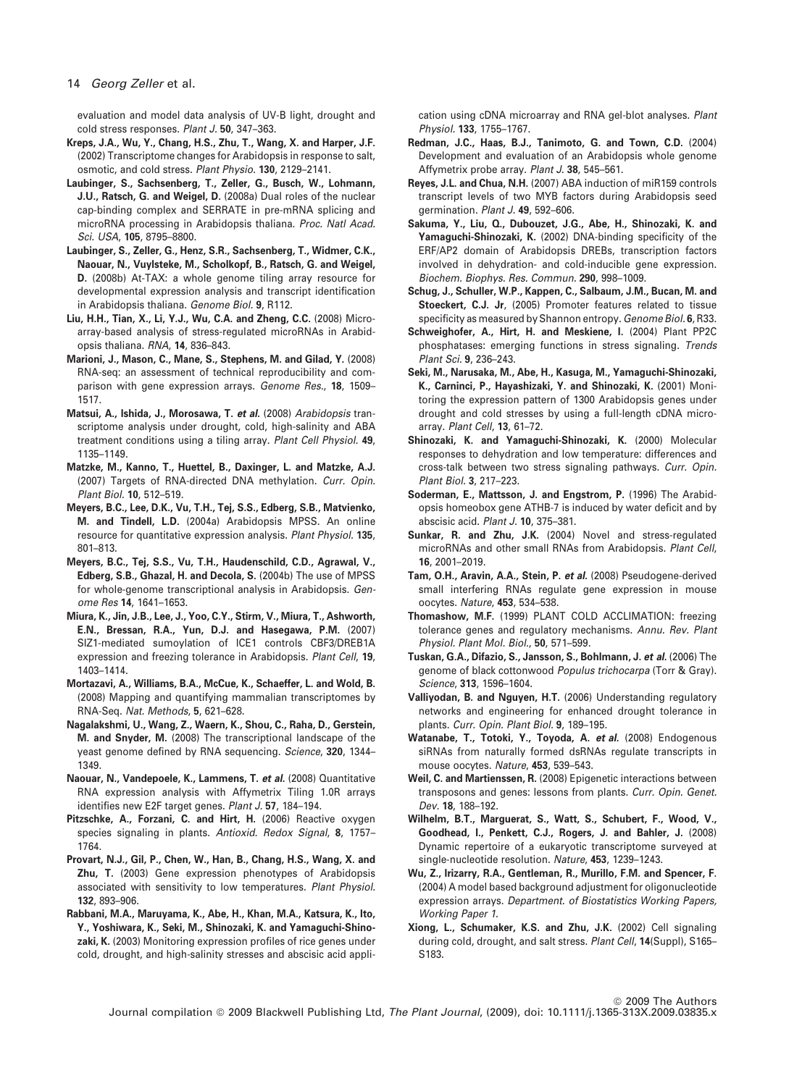evaluation and model data analysis of UV-B light, drought and cold stress responses. Plant J. 50, 347-363.

- Kreps, J.A., Wu, Y., Chang, H.S., Zhu, T., Wang, X. and Harper, J.F. (2002) Transcriptome changes for Arabidopsis in response to salt, osmotic, and cold stress. Plant Physio. 130, 2129–2141.
- Laubinger, S., Sachsenberg, T., Zeller, G., Busch, W., Lohmann, J.U., Ratsch, G. and Weigel, D. (2008a) Dual roles of the nuclear cap-binding complex and SERRATE in pre-mRNA splicing and microRNA processing in Arabidopsis thaliana. Proc. Natl Acad. Sci. USA, 105, 8795–8800.
- Laubinger, S., Zeller, G., Henz, S.R., Sachsenberg, T., Widmer, C.K., Naouar, N., Vuylsteke, M., Scholkopf, B., Ratsch, G. and Weigel, D. (2008b) At-TAX: a whole genome tiling array resource for developmental expression analysis and transcript identification in Arabidopsis thaliana. Genome Biol. 9, R112.
- Liu, H.H., Tian, X., Li, Y.J., Wu, C.A. and Zheng, C.C. (2008) Microarray-based analysis of stress-regulated microRNAs in Arabidopsis thaliana. RNA, 14, 836–843.
- Marioni, J., Mason, C., Mane, S., Stephens, M. and Gilad, Y. (2008) RNA-seq: an assessment of technical reproducibility and comparison with gene expression arrays. Genome Res., 18, 1509– 1517.
- Matsui, A., Ishida, J., Morosawa, T. et al. (2008) Arabidopsis transcriptome analysis under drought, cold, high-salinity and ABA treatment conditions using a tiling array. Plant Cell Physiol. 49, 1135–1149.
- Matzke, M., Kanno, T., Huettel, B., Daxinger, L. and Matzke, A.J. (2007) Targets of RNA-directed DNA methylation. Curr. Opin. Plant Biol. 10, 512–519.
- Meyers, B.C., Lee, D.K., Vu, T.H., Tej, S.S., Edberg, S.B., Matvienko, M. and Tindell, L.D. (2004a) Arabidopsis MPSS. An online resource for quantitative expression analysis. Plant Physiol. 135, 801–813.
- Meyers, B.C., Tej, S.S., Vu, T.H., Haudenschild, C.D., Agrawal, V., Edberg, S.B., Ghazal, H. and Decola, S. (2004b) The use of MPSS for whole-genome transcriptional analysis in Arabidopsis. Genome Res 14, 1641–1653.
- Miura, K., Jin, J.B., Lee, J., Yoo, C.Y., Stirm, V., Miura, T., Ashworth, E.N., Bressan, R.A., Yun, D.J. and Hasegawa, P.M. (2007) SIZ1-mediated sumoylation of ICE1 controls CBF3/DREB1A expression and freezing tolerance in Arabidopsis. Plant Cell, 19, 1403–1414.
- Mortazavi, A., Williams, B.A., McCue, K., Schaeffer, L. and Wold, B. (2008) Mapping and quantifying mammalian transcriptomes by RNA-Seq. Nat. Methods, 5, 621–628.
- Nagalakshmi, U., Wang, Z., Waern, K., Shou, C., Raha, D., Gerstein, M. and Snyder, M. (2008) The transcriptional landscape of the yeast genome defined by RNA sequencing. Science, 320, 1344– 1349.
- Naouar, N., Vandepoele, K., Lammens, T. et al. (2008) Quantitative RNA expression analysis with Affymetrix Tiling 1.0R arrays identifies new E2F target genes. Plant J. 57, 184–194.
- Pitzschke, A., Forzani, C. and Hirt, H. (2006) Reactive oxygen species signaling in plants. Antioxid. Redox Signal, 8, 1757– 1764.
- Provart, N.J., Gil, P., Chen, W., Han, B., Chang, H.S., Wang, X. and Zhu, T. (2003) Gene expression phenotypes of Arabidopsis associated with sensitivity to low temperatures. Plant Physiol. 132, 893–906.
- Rabbani, M.A., Maruyama, K., Abe, H., Khan, M.A., Katsura, K., Ito, Y., Yoshiwara, K., Seki, M., Shinozaki, K. and Yamaguchi-Shinozaki, K. (2003) Monitoring expression profiles of rice genes under cold, drought, and high-salinity stresses and abscisic acid appli-

cation using cDNA microarray and RNA gel-blot analyses. Plant Physiol. 133, 1755–1767.

- Redman, J.C., Haas, B.J., Tanimoto, G. and Town, C.D. (2004) Development and evaluation of an Arabidopsis whole genome Affymetrix probe array. Plant J. 38, 545–561.
- Reyes, J.L. and Chua, N.H. (2007) ABA induction of miR159 controls transcript levels of two MYB factors during Arabidopsis seed germination. Plant J. 49, 592–606.
- Sakuma, Y., Liu, Q., Dubouzet, J.G., Abe, H., Shinozaki, K. and Yamaguchi-Shinozaki, K. (2002) DNA-binding specificity of the ERF/AP2 domain of Arabidopsis DREBs, transcription factors involved in dehydration- and cold-inducible gene expression. Biochem. Biophys. Res. Commun. 290, 998–1009.
- Schug, J., Schuller, W.P., Kappen, C., Salbaum, J.M., Bucan, M. and Stoeckert, C.J. Jr, (2005) Promoter features related to tissue specificity as measured by Shannon entropy. Genome Biol. 6, R33.
- Schweighofer, A., Hirt, H. and Meskiene, I. (2004) Plant PP2C phosphatases: emerging functions in stress signaling. Trends Plant Sci. 9, 236–243.
- Seki, M., Narusaka, M., Abe, H., Kasuga, M., Yamaguchi-Shinozaki, K., Carninci, P., Hayashizaki, Y. and Shinozaki, K. (2001) Monitoring the expression pattern of 1300 Arabidopsis genes under drought and cold stresses by using a full-length cDNA microarray. Plant Cell, 13, 61–72.
- Shinozaki, K. and Yamaguchi-Shinozaki, K. (2000) Molecular responses to dehydration and low temperature: differences and cross-talk between two stress signaling pathways. Curr. Opin. Plant Biol. 3, 217–223.
- Soderman, E., Mattsson, J. and Engstrom, P. (1996) The Arabidopsis homeobox gene ATHB-7 is induced by water deficit and by abscisic acid. Plant J. 10, 375–381.
- Sunkar, R. and Zhu, J.K. (2004) Novel and stress-regulated microRNAs and other small RNAs from Arabidopsis. Plant Cell, 16, 2001–2019.
- Tam, O.H., Aravin, A.A., Stein, P. et al. (2008) Pseudogene-derived small interfering RNAs regulate gene expression in mouse oocytes. Nature, 453, 534–538.
- Thomashow, M.F. (1999) PLANT COLD ACCLIMATION: freezing tolerance genes and regulatory mechanisms. Annu. Rev. Plant Physiol. Plant Mol. Biol., 50, 571–599.
- Tuskan, G.A., Difazio, S., Jansson, S., Bohlmann, J. et al. (2006) The genome of black cottonwood Populus trichocarpa (Torr & Gray). Science, 313, 1596–1604.
- Valliyodan, B. and Nguyen, H.T. (2006) Understanding regulatory networks and engineering for enhanced drought tolerance in plants. Curr. Opin. Plant Biol. 9, 189–195.
- Watanabe, T., Totoki, Y., Toyoda, A. et al. (2008) Endogenous siRNAs from naturally formed dsRNAs regulate transcripts in mouse oocytes. Nature, 453, 539–543.
- Weil, C. and Martienssen, R. (2008) Epigenetic interactions between transposons and genes: lessons from plants. Curr. Opin. Genet. Dev. 18, 188–192.
- Wilhelm, B.T., Marguerat, S., Watt, S., Schubert, F., Wood, V., Goodhead, I., Penkett, C.J., Rogers, J. and Bahler, J. (2008) Dynamic repertoire of a eukaryotic transcriptome surveyed at single-nucleotide resolution. Nature, 453, 1239–1243.
- Wu, Z., Irizarry, R.A., Gentleman, R., Murillo, F.M. and Spencer, F. (2004) A model based background adjustment for oligonucleotide expression arrays. Department. of Biostatistics Working Papers, Working Paper 1.
- Xiong, L., Schumaker, K.S. and Zhu, J.K. (2002) Cell signaling during cold, drought, and salt stress. Plant Cell, 14(Suppl), S165-S183.